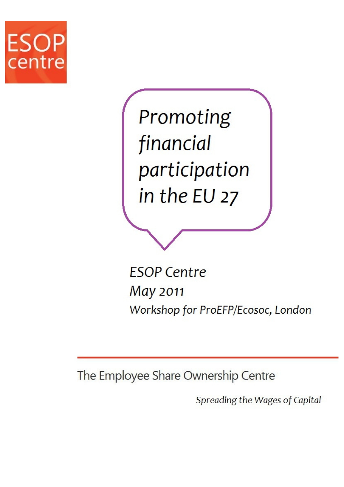

Promoting financial participation in the EU 27

**ESOP Centre** May 2011 Workshop for ProEFP/Ecosoc, London

The Employee Share Ownership Centre

Spreading the Wages of Capital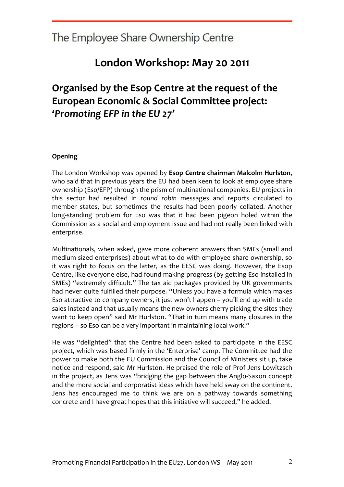### London Workshop: May 20 2011

### Organised by the Esop Centre at the request of the European Economic & Social Committee project: 'Promoting EFP in the EU 27'

#### Opening

The London Workshop was opened by Esop Centre chairman Malcolm Hurlston, who said that in previous years the EU had been keen to look at employee share ownership (Eso/EFP) through the prism of multinational companies. EU projects in this sector had resulted in round robin messages and reports circulated to member states, but sometimes the results had been poorly collated. Another long-standing problem for Eso was that it had been pigeon holed within the Commission as a social and employment issue and had not really been linked with enterprise.

Multinationals, when asked, gave more coherent answers than SMEs (small and medium sized enterprises) about what to do with employee share ownership, so it was right to focus on the latter, as the EESC was doing. However, the Esop Centre, like everyone else, had found making progress (by getting Eso installed in SMEs) "extremely difficult." The tax aid packages provided by UK governments had never quite fulfilled their purpose. "Unless you have a formula which makes Eso attractive to company owners, it just won't happen – you'll end up with trade sales instead and that usually means the new owners cherry picking the sites they want to keep open" said Mr Hurlston. "That in turn means many closures in the regions – so Eso can be a very important in maintaining local work."

He was "delighted" that the Centre had been asked to participate in the EESC project, which was based firmly in the 'Enterprise' camp. The Committee had the power to make both the EU Commission and the Council of Ministers sit up, take notice and respond, said Mr Hurlston. He praised the role of Prof Jens Lowitzsch in the project, as Jens was "bridging the gap between the Anglo-Saxon concept and the more social and corporatist ideas which have held sway on the continent. Jens has encouraged me to think we are on a pathway towards something concrete and I have great hopes that this initiative will succeed," he added.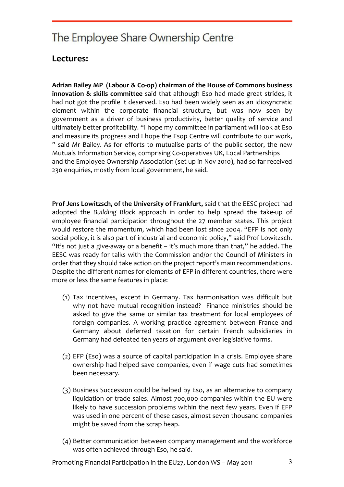### Lectures:

Adrian Bailey MP (Labour & Co-op) chairman of the House of Commons business innovation & skills committee said that although Eso had made great strides, it had not got the profile it deserved. Eso had been widely seen as an idiosyncratic element within the corporate financial structure, but was now seen by government as a driver of business productivity, better quality of service and ultimately better profitability. "I hope my committee in parliament will look at Eso and measure its progress and I hope the Esop Centre will contribute to our work, " said Mr Bailey. As for efforts to mutualise parts of the public sector, the new Mutuals Information Service, comprising Co-operatives UK, Local Partnerships and the Employee Ownership Association (set up in Nov 2010), had so far received 230 enquiries, mostly from local government, he said.

Prof Jens Lowitzsch, of the University of Frankfurt, said that the EESC project had adopted the Building Block approach in order to help spread the take-up of employee financial participation throughout the 27 member states. This project would restore the momentum, which had been lost since 2004. "EFP is not only social policy, it is also part of industrial and economic policy," said Prof Lowitzsch. "It's not just a give-away or a benefit  $-$  it's much more than that," he added. The EESC was ready for talks with the Commission and/or the Council of Ministers in order that they should take action on the project report's main recommendations. Despite the different names for elements of EFP in different countries, there were more or less the same features in place:

- (1) Tax incentives, except in Germany. Tax harmonisation was difficult but why not have mutual recognition instead? Finance ministries should be asked to give the same or similar tax treatment for local employees of foreign companies. A working practice agreement between France and Germany about deferred taxation for certain French subsidiaries in Germany had defeated ten years of argument over legislative forms.
- (2) EFP (Eso) was a source of capital participation in a crisis. Employee share ownership had helped save companies, even if wage cuts had sometimes been necessary.
- (3) Business Succession could be helped by Eso, as an alternative to company liquidation or trade sales. Almost 700,000 companies within the EU were likely to have succession problems within the next few years. Even if EFP was used in one percent of these cases, almost seven thousand companies might be saved from the scrap heap.
- (4) Better communication between company management and the workforce was often achieved through Eso, he said.

Promoting Financial Participation in the EU27, London WS – May 2011  $\frac{3}{3}$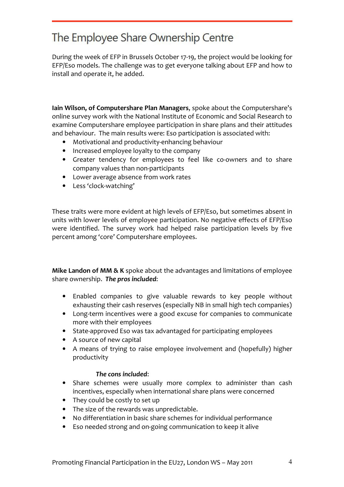During the week of EFP in Brussels October 17-19, the project would be looking for EFP/Eso models. The challenge was to get everyone talking about EFP and how to install and operate it, he added.

Iain Wilson, of Computershare Plan Managers, spoke about the Computershare's online survey work with the National Institute of Economic and Social Research to examine Computershare employee participation in share plans and their attitudes and behaviour. The main results were: Eso participation is associated with:

- Motivational and productivity-enhancing behaviour
- Increased employee loyalty to the company
- Greater tendency for employees to feel like co-owners and to share company values than non-participants
- Lower average absence from work rates
- Less 'clock-watching'

These traits were more evident at high levels of EFP/Eso, but sometimes absent in units with lower levels of employee participation. No negative effects of EFP/Eso were identified. The survey work had helped raise participation levels by five percent among 'core' Computershare employees.

Mike Landon of MM & K spoke about the advantages and limitations of employee share ownership. The pros included:

- Enabled companies to give valuable rewards to key people without exhausting their cash reserves (especially NB in small high tech companies)
- Long-term incentives were a good excuse for companies to communicate more with their employees
- State-approved Eso was tax advantaged for participating employees
- A source of new capital
- A means of trying to raise employee involvement and (hopefully) higher productivity

#### The cons included:

- Share schemes were usually more complex to administer than cash incentives, especially when international share plans were concerned
- They could be costly to set up
- The size of the rewards was unpredictable.
- No differentiation in basic share schemes for individual performance
- Eso needed strong and on-going communication to keep it alive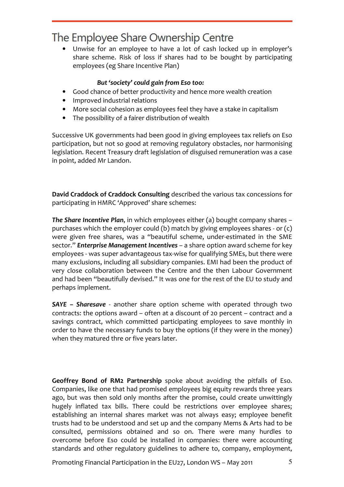• Unwise for an employee to have a lot of cash locked up in employer's share scheme. Risk of loss if shares had to be bought by participating employees (eg Share Incentive Plan)

#### But 'society' could gain from Eso too:

- Good chance of better productivity and hence more wealth creation
- Improved industrial relations
- More social cohesion as employees feel they have a stake in capitalism
- The possibility of a fairer distribution of wealth

Successive UK governments had been good in giving employees tax reliefs on Eso participation, but not so good at removing regulatory obstacles, nor harmonising legislation. Recent Treasury draft legislation of disguised remuneration was a case in point, added Mr Landon.

David Craddock of Craddock Consulting described the various tax concessions for participating in HMRC 'Approved' share schemes:

The Share Incentive Plan, in which employees either (a) bought company shares – purchases which the employer could (b) match by giving employees shares - or (c) were given free shares, was a "beautiful scheme, under-estimated in the SME sector." **Enterprise Management Incentives** – a share option award scheme for key employees - was super advantageous tax-wise for qualifying SMEs, but there were many exclusions, including all subsidiary companies. EMI had been the product of very close collaboration between the Centre and the then Labour Government and had been "beautifully devised." It was one for the rest of the EU to study and perhaps implement.

SAYE - Sharesave - another share option scheme with operated through two contracts: the options award – often at a discount of 20 percent – contract and a savings contract, which committed participating employees to save monthly in order to have the necessary funds to buy the options (if they were in the money) when they matured thre or five years later.

Geoffrey Bond of RM2 Partnership spoke about avoiding the pitfalls of Eso. Companies, like one that had promised employees big equity rewards three years ago, but was then sold only months after the promise, could create unwittingly hugely inflated tax bills. There could be restrictions over employee shares; establishing an internal shares market was not always easy; employee benefit trusts had to be understood and set up and the company Mems & Arts had to be consulted, permissions obtained and so on. There were many hurdles to overcome before Eso could be installed in companies: there were accounting standards and other regulatory guidelines to adhere to, company, employment,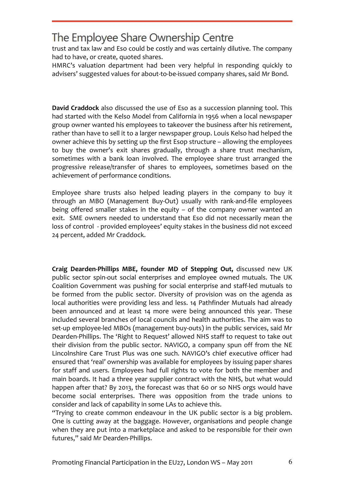trust and tax law and Eso could be costly and was certainly dilutive. The company had to have, or create, quoted shares.

HMRC's valuation department had been very helpful in responding quickly to advisers' suggested values for about-to-be-issued company shares, said Mr Bond.

David Craddock also discussed the use of Eso as a succession planning tool. This had started with the Kelso Model from California in 1956 when a local newspaper group owner wanted his employees to takeover the business after his retirement, rather than have to sell it to a larger newspaper group. Louis Kelso had helped the owner achieve this by setting up the first Esop structure – allowing the employees to buy the owner's exit shares gradually, through a share trust mechanism, sometimes with a bank loan involved. The employee share trust arranged the progressive release/transfer of shares to employees, sometimes based on the achievement of performance conditions.

Employee share trusts also helped leading players in the company to buy it through an MBO (Management Buy-Out) usually with rank-and-file employees being offered smaller stakes in the equity – of the company owner wanted an exit. SME owners needed to understand that Eso did not necessarily mean the loss of control - provided employees' equity stakes in the business did not exceed 24 percent, added Mr Craddock.

Craig Dearden-Phillips MBE, founder MD of Stepping Out, discussed new UK public sector spin-out social enterprises and employee owned mutuals. The UK Coalition Government was pushing for social enterprise and staff-led mutuals to be formed from the public sector. Diversity of provision was on the agenda as local authorities were providing less and less. 14 Pathfinder Mutuals had already been announced and at least 14 more were being announced this year. These included several branches of local councils and health authorities. The aim was to set-up employee-led MBOs (management buy-outs) in the public services, said Mr Dearden-Phillips. The 'Right to Request' allowed NHS staff to request to take out their division from the public sector. NAVIGO, a company spun off from the NE Lincolnshire Care Trust Plus was one such. NAVIGO's chief executive officer had ensured that 'real' ownership was available for employees by issuing paper shares for staff and users. Employees had full rights to vote for both the member and main boards. It had a three year supplier contract with the NHS, but what would happen after that? By 2013, the forecast was that 60 or so NHS orgs would have become social enterprises. There was opposition from the trade unions to consider and lack of capability in some LAs to achieve this.

"Trying to create common endeavour in the UK public sector is a big problem. One is cutting away at the baggage. However, organisations and people change when they are put into a marketplace and asked to be responsible for their own futures," said Mr Dearden-Phillips.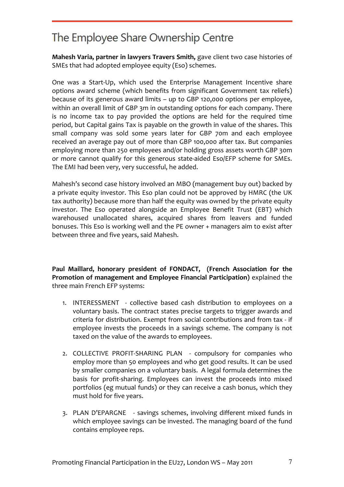Mahesh Varia, partner in lawyers Travers Smith, gave client two case histories of SMEs that had adopted employee equity (Eso) schemes.

One was a Start-Up, which used the Enterprise Management Incentive share options award scheme (which benefits from significant Government tax reliefs) because of its generous award limits – up to GBP 120,000 options per employee, within an overall limit of GBP 3m in outstanding options for each company. There is no income tax to pay provided the options are held for the required time period, but Capital gains Tax is payable on the growth in value of the shares. This small company was sold some years later for GBP 70m and each employee received an average pay out of more than GBP 100,000 after tax. But companies employing more than 250 employees and/or holding gross assets worth GBP 30m or more cannot qualify for this generous state-aided Eso/EFP scheme for SMEs. The EMI had been very, very successful, he added.

Mahesh's second case history involved an MBO (management buy out) backed by a private equity investor. This Eso plan could not be approved by HMRC (the UK tax authority) because more than half the equity was owned by the private equity investor. The Eso operated alongside an Employee Benefit Trust (EBT) which warehoused unallocated shares, acquired shares from leavers and funded bonuses. This Eso is working well and the PE owner + managers aim to exist after between three and five years, said Mahesh.

Paul Maillard, honorary president of FONDACT, (French Association for the Promotion of management and Employee Financial Participation) explained the three main French EFP systems:

- 1. INTERESSMENT collective based cash distribution to employees on a voluntary basis. The contract states precise targets to trigger awards and criteria for distribution. Exempt from social contributions and from tax - if employee invests the proceeds in a savings scheme. The company is not taxed on the value of the awards to employees.
- 2. COLLECTIVE PROFIT-SHARING PLAN compulsory for companies who employ more than 50 employees and who get good results. It can be used by smaller companies on a voluntary basis. A legal formula determines the basis for profit-sharing. Employees can invest the proceeds into mixed portfolios (eg mutual funds) or they can receive a cash bonus, which they must hold for five years.
- 3. PLAN D'EPARGNE savings schemes, involving different mixed funds in which employee savings can be invested. The managing board of the fund contains employee reps.